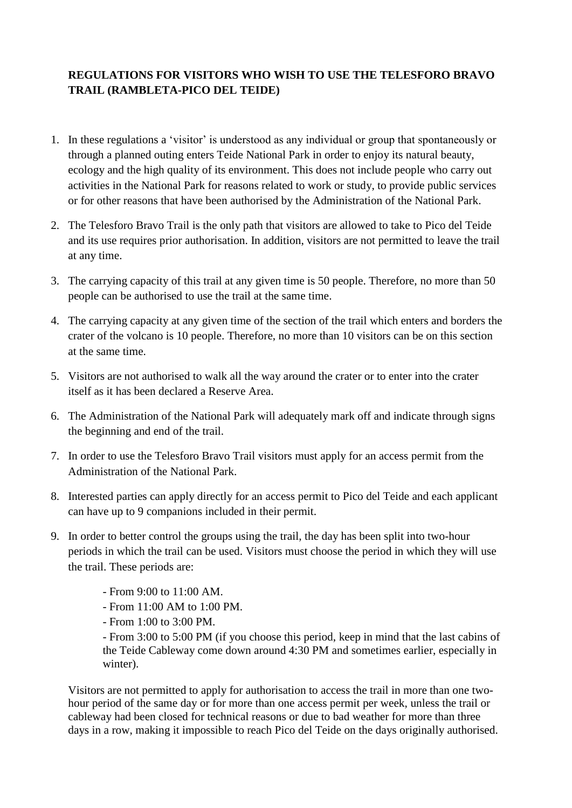## **REGULATIONS FOR VISITORS WHO WISH TO USE THE TELESFORO BRAVO TRAIL (RAMBLETA-PICO DEL TEIDE)**

- 1. In these regulations a 'visitor' is understood as any individual or group that spontaneously or through a planned outing enters Teide National Park in order to enjoy its natural beauty, ecology and the high quality of its environment. This does not include people who carry out activities in the National Park for reasons related to work or study, to provide public services or for other reasons that have been authorised by the Administration of the National Park.
- 2. The Telesforo Bravo Trail is the only path that visitors are allowed to take to Pico del Teide and its use requires prior authorisation. In addition, visitors are not permitted to leave the trail at any time.
- 3. The carrying capacity of this trail at any given time is 50 people. Therefore, no more than 50 people can be authorised to use the trail at the same time.
- 4. The carrying capacity at any given time of the section of the trail which enters and borders the crater of the volcano is 10 people. Therefore, no more than 10 visitors can be on this section at the same time.
- 5. Visitors are not authorised to walk all the way around the crater or to enter into the crater itself as it has been declared a Reserve Area.
- 6. The Administration of the National Park will adequately mark off and indicate through signs the beginning and end of the trail.
- 7. In order to use the Telesforo Bravo Trail visitors must apply for an access permit from the Administration of the National Park.
- 8. Interested parties can apply directly for an access permit to Pico del Teide and each applicant can have up to 9 companions included in their permit.
- 9. In order to better control the groups using the trail, the day has been split into two-hour periods in which the trail can be used. Visitors must choose the period in which they will use the trail. These periods are:
	- From 9:00 to 11:00 AM.
	- From 11:00 AM to 1:00 PM.
	- From 1:00 to 3:00 PM.

- From 3:00 to 5:00 PM (if you choose this period, keep in mind that the last cabins of the Teide Cableway come down around 4:30 PM and sometimes earlier, especially in winter).

Visitors are not permitted to apply for authorisation to access the trail in more than one twohour period of the same day or for more than one access permit per week, unless the trail or cableway had been closed for technical reasons or due to bad weather for more than three days in a row, making it impossible to reach Pico del Teide on the days originally authorised.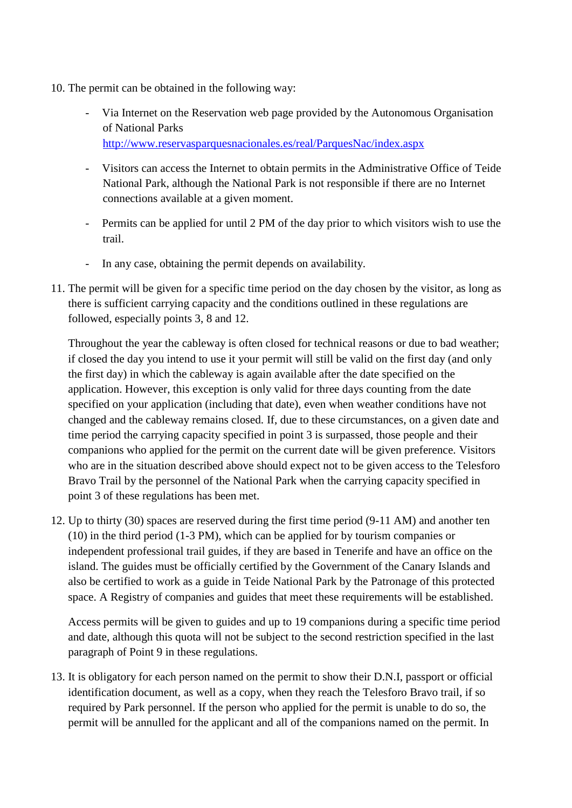- 10. The permit can be obtained in the following way:
	- Via Internet on the Reservation web page provided by the Autonomous Organisation of National Parks [http://www.reservasparquesnacionales.es/real/ParquesNac/index.aspx](https://correo.oapn.es/owa/redir.aspx?C=aa3c3520b7ba4808944f3bcbf1089ac2&URL=http%3a%2f%2fwww.reservasparquesnacionales.es%2f)
	- Visitors can access the Internet to obtain permits in the Administrative Office of Teide National Park, although the National Park is not responsible if there are no Internet connections available at a given moment.
	- Permits can be applied for until 2 PM of the day prior to which visitors wish to use the trail.
	- In any case, obtaining the permit depends on availability.
- 11. The permit will be given for a specific time period on the day chosen by the visitor, as long as there is sufficient carrying capacity and the conditions outlined in these regulations are followed, especially points 3, 8 and 12.

Throughout the year the cableway is often closed for technical reasons or due to bad weather; if closed the day you intend to use it your permit will still be valid on the first day (and only the first day) in which the cableway is again available after the date specified on the application. However, this exception is only valid for three days counting from the date specified on your application (including that date), even when weather conditions have not changed and the cableway remains closed. If, due to these circumstances, on a given date and time period the carrying capacity specified in point 3 is surpassed, those people and their companions who applied for the permit on the current date will be given preference. Visitors who are in the situation described above should expect not to be given access to the Telesforo Bravo Trail by the personnel of the National Park when the carrying capacity specified in point 3 of these regulations has been met.

12. Up to thirty (30) spaces are reserved during the first time period (9-11 AM) and another ten (10) in the third period (1-3 PM), which can be applied for by tourism companies or independent professional trail guides, if they are based in Tenerife and have an office on the island. The guides must be officially certified by the Government of the Canary Islands and also be certified to work as a guide in Teide National Park by the Patronage of this protected space. A Registry of companies and guides that meet these requirements will be established.

Access permits will be given to guides and up to 19 companions during a specific time period and date, although this quota will not be subject to the second restriction specified in the last paragraph of Point 9 in these regulations.

13. It is obligatory for each person named on the permit to show their D.N.I, passport or official identification document, as well as a copy, when they reach the Telesforo Bravo trail, if so required by Park personnel. If the person who applied for the permit is unable to do so, the permit will be annulled for the applicant and all of the companions named on the permit. In